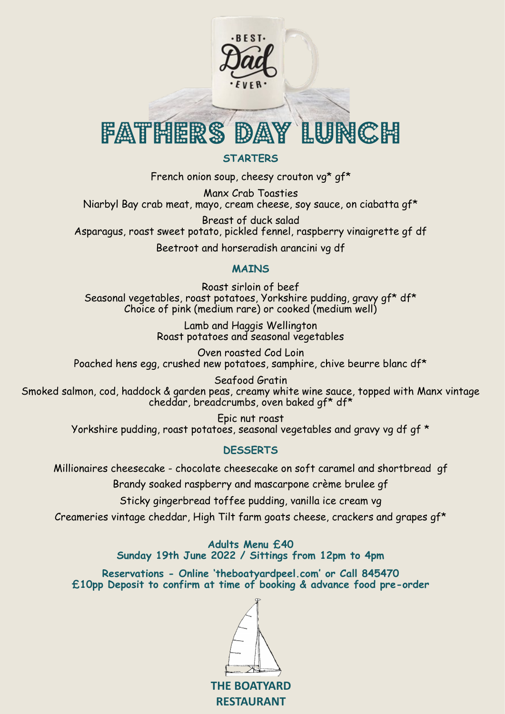

#### **STARTERS**

French onion soup, cheesy crouton vg\* gf\*

Manx Crab Toasties Niarbyl Bay crab meat, mayo, cream cheese, soy sauce, on ciabatta gf\*

Breast of duck salad Asparagus, roast sweet potato, pickled fennel, raspberry vinaigrette gf df

Beetroot and horseradish arancini vg df

#### **MAINS**

Roast sirloin of beef Seasonal vegetables, roast potatoes, Yorkshire pudding, gravy gf\* df\* Choice of pink (medium rare) or cooked (medium well)

> Lamb and Haggis Wellington Roast potatoes and seasonal vegetables

Oven roasted Cod Loin Poached hens egg, crushed new potatoes, samphire, chive beurre blanc df\*

Seafood Gratin Smoked salmon, cod, haddock & garden peas, creamy white wine sauce, topped with Manx vintage cheddar, breadcrumbs, oven baked gf\* df\*

> Epic nut roast Yorkshire pudding, roast potatoes, seasonal vegetables and gravy vg df gf \*

## **DESSERTS**

Millionaires cheesecake - chocolate cheesecake on soft caramel and shortbread gf Brandy soaked raspberry and mascarpone crème brulee gf

Sticky gingerbread toffee pudding, vanilla ice cream vg

Creameries vintage cheddar, High Tilt farm goats cheese, crackers and grapes gf\*

**Adults Menu £40 Sunday 19th June 2022 / Sittings from 12pm to 4pm**

**Reservations - Online 'theboatyardpeel.com' or Call 845470 £10pp Deposit to confirm at time of booking & advance food pre-order** 

**THE BOATYARD**

**RESTAURANT**